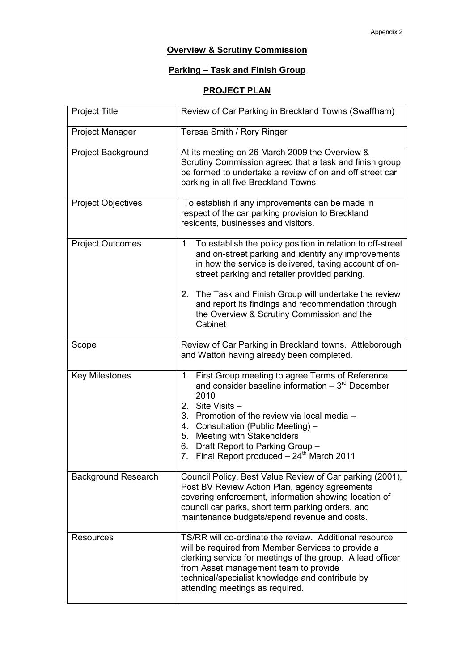## **Overview & Scrutiny Commission**

## Parking – Task and Finish Group

## PROJECT PLAN

| <b>Project Title</b>       | Review of Car Parking in Breckland Towns (Swaffham)                                                                                                                                                                                                                                                        |
|----------------------------|------------------------------------------------------------------------------------------------------------------------------------------------------------------------------------------------------------------------------------------------------------------------------------------------------------|
| <b>Project Manager</b>     | Teresa Smith / Rory Ringer                                                                                                                                                                                                                                                                                 |
| Project Background         | At its meeting on 26 March 2009 the Overview &<br>Scrutiny Commission agreed that a task and finish group<br>be formed to undertake a review of on and off street car<br>parking in all five Breckland Towns.                                                                                              |
| <b>Project Objectives</b>  | To establish if any improvements can be made in<br>respect of the car parking provision to Breckland<br>residents, businesses and visitors.                                                                                                                                                                |
| <b>Project Outcomes</b>    | 1. To establish the policy position in relation to off-street<br>and on-street parking and identify any improvements<br>in how the service is delivered, taking account of on-<br>street parking and retailer provided parking.                                                                            |
|                            | The Task and Finish Group will undertake the review<br>2.<br>and report its findings and recommendation through<br>the Overview & Scrutiny Commission and the<br>Cabinet                                                                                                                                   |
| Scope                      | Review of Car Parking in Breckland towns. Attleborough<br>and Watton having already been completed.                                                                                                                                                                                                        |
| <b>Key Milestones</b>      | 1. First Group meeting to agree Terms of Reference<br>and consider baseline information $-3^{rd}$ December<br>2010<br>2. Site Visits -                                                                                                                                                                     |
|                            | 3. Promotion of the review via local media -<br>4. Consultation (Public Meeting) -                                                                                                                                                                                                                         |
|                            | 5. Meeting with Stakeholders<br>6. Draft Report to Parking Group -                                                                                                                                                                                                                                         |
|                            | Final Report produced $-24^{\text{th}}$ March 2011<br>7.                                                                                                                                                                                                                                                   |
| <b>Background Research</b> | Council Policy, Best Value Review of Car parking (2001),<br>Post BV Review Action Plan, agency agreements<br>covering enforcement, information showing location of<br>council car parks, short term parking orders, and<br>maintenance budgets/spend revenue and costs.                                    |
| <b>Resources</b>           | TS/RR will co-ordinate the review. Additional resource<br>will be required from Member Services to provide a<br>clerking service for meetings of the group. A lead officer<br>from Asset management team to provide<br>technical/specialist knowledge and contribute by<br>attending meetings as required. |